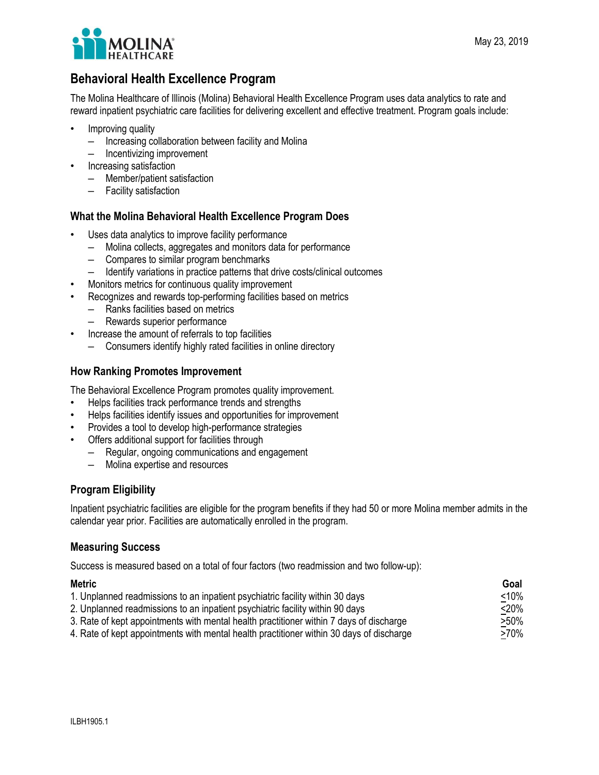

# **Behavioral Health Excellence Program**

The Molina Healthcare of Illinois (Molina) Behavioral Health Excellence Program uses data analytics to rate and reward inpatient psychiatric care facilities for delivering excellent and effective treatment. Program goals include:

- Improving quality
	- Increasing collaboration between facility and Molina
	- Incentivizing improvement
- Increasing satisfaction
	- Member/patient satisfaction
	- Facility satisfaction

#### **What the Molina Behavioral Health Excellence Program Does**

- Uses data analytics to improve facility performance
	- Molina collects, aggregates and monitors data for performance
	- Compares to similar program benchmarks
- Identify variations in practice patterns that drive costs/clinical outcomes
- Monitors metrics for continuous quality improvement
- Recognizes and rewards top-performing facilities based on metrics
	- Ranks facilities based on metrics
	- Rewards superior performance
- Increase the amount of referrals to top facilities
	- Consumers identify highly rated facilities in online directory

#### **How Ranking Promotes Improvement**

The Behavioral Excellence Program promotes quality improvement.

- Helps facilities track performance trends and strengths
- Helps facilities identify issues and opportunities for improvement
- Provides a tool to develop high-performance strategies
- Offers additional support for facilities through
	- Regular, ongoing communications and engagement
	- Molina expertise and resources

### **Program Eligibility**

Inpatient psychiatric facilities are eligible for the program benefits if they had 50 or more Molina member admits in the calendar year prior. Facilities are automatically enrolled in the program.

#### **Measuring Success**

Success is measured based on a total of four factors (two readmission and two follow-up):

| Metric                                                                                   | Goal    |
|------------------------------------------------------------------------------------------|---------|
| 1. Unplanned readmissions to an inpatient psychiatric facility within 30 days            | $<$ 10% |
| 2. Unplanned readmissions to an inpatient psychiatric facility within 90 days            | $<$ 20% |
| 3. Rate of kept appointments with mental health practitioner within 7 days of discharge  | >50%    |
| 4. Rate of kept appointments with mental health practitioner within 30 days of discharge | >70%    |